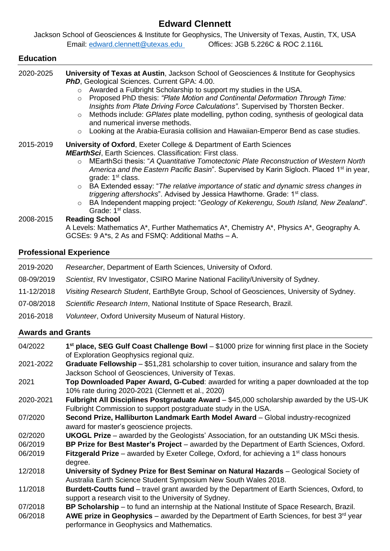# **Edward Clennett**

Jackson School of Geosciences & Institute for Geophysics, The University of Texas, Austin, TX, USA Email: [edward.clennett@utexas.edu](mailto:edward.clennett@utexas.edu) Offices: JGB 5.226C & ROC 2.116L

# **Education** 2020-2025 **University of Texas at Austin**, Jackson School of Geosciences & Institute for Geophysics **PhD**, Geological Sciences. Current GPA: 4.00. o Awarded a Fulbright Scholarship to support my studies in the USA. o Proposed PhD thesis: *"Plate Motion and Continental Deformation Through Time: Insights from Plate Driving Force Calculations"*. Supervised by Thorsten Becker. o Methods include: *GPlates* plate modelling, python coding, synthesis of geological data and numerical inverse methods. o Looking at the Arabia-Eurasia collision and Hawaiian-Emperor Bend as case studies. 2015-2019 **University of Oxford**, Exeter College & Department of Earth Sciences *MEarthSci*, Earth Sciences. Classification: First class. o MEarthSci thesis: "*A Quantitative Tomotectonic Plate Reconstruction of Western North*  America and the Eastern Pacific Basin". Supervised by Karin Sigloch. Placed 1<sup>st</sup> in year, grade: 1<sup>st</sup> class. o BA Extended essay: "*The relative importance of static and dynamic stress changes in triggering aftershocks*". Advised by Jessica Hawthorne. Grade: 1<sup>st</sup> class. o BA Independent mapping project: "*Geology of Kekerengu, South Island, New Zealand*". Grade: 1<sup>st</sup> class. 2008-2015 **Reading School** A Levels: Mathematics A\*, Further Mathematics A\*, Chemistry A\*, Physics A\*, Geography A. GCSEs: 9 A\*s, 2 As and FSMQ: Additional Maths – A.

# **Professional Experience**

- 2019-2020 *Researcher*, Department of Earth Sciences, University of Oxford.
- 08-09/2019 *Scientist*, RV Investigator, CSIRO Marine National Facility/University of Sydney.
- 11-12/2018 *Visiting Research Student*, EarthByte Group, School of Geosciences, University of Sydney.
- 07-08/2018 *Scientific Research Intern*, National Institute of Space Research, Brazil.
- 2016-2018 *Volunteer*, Oxford University Museum of Natural History.

# **Awards and Grants**

04/2022 **1 st place, SEG Gulf Coast Challenge Bowl** – \$1000 prize for winning first place in the Society of Exploration Geophysics regional quiz.

- 2021-2022 **Graduate Fellowship** \$51,281 scholarship to cover tuition, insurance and salary from the Jackson School of Geosciences, University of Texas.
- 2021 **Top Downloaded Paper Award, G-Cubed**: awarded for writing a paper downloaded at the top 10% rate during 2020-2021 (Clennett et al., 2020)
- 2020-2021 **Fulbright All Disciplines Postgraduate Award**  \$45,000 scholarship awarded by the US-UK Fulbright Commission to support postgraduate study in the USA.
- 07/2020 **Second Prize, Halliburton Landmark Earth Model Award** Global industry-recognized award for master's geoscience projects.
- 02/2020 **UKOGL Prize**  awarded by the Geologists' Association, for an outstanding UK MSci thesis.
- 06/2019 **BP Prize for Best Master's Project** awarded by the Department of Earth Sciences, Oxford. 06/2019 **Fitzgerald Prize** – awarded by Exeter College, Oxford, for achieving a 1st class honours degree.
- 12/2018 **University of Sydney Prize for Best Seminar on Natural Hazards** Geological Society of Australia Earth Science Student Symposium New South Wales 2018.
- 11/2018 **Burdett-Coutts fund** travel grant awarded by the Department of Earth Sciences, Oxford, to support a research visit to the University of Sydney.
- 07/2018 **BP Scholarship** to fund an internship at the National Institute of Space Research, Brazil.
- 06/2018 **AWE prize in Geophysics** awarded by the Department of Earth Sciences, for best 3rd year performance in Geophysics and Mathematics.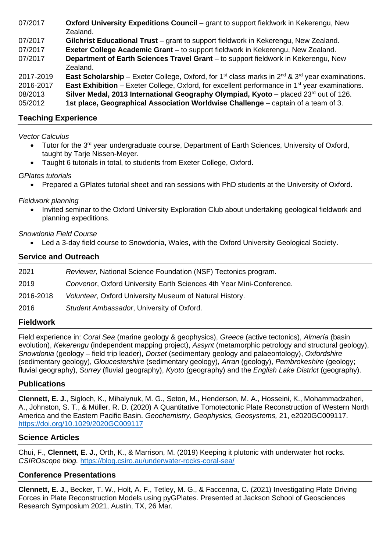| 07/2017 | Oxford University Expeditions Council - grant to support fieldwork in Kekerengu, New |
|---------|--------------------------------------------------------------------------------------|
|         | Zealand.                                                                             |

07/2017 **Gilchrist Educational Trust** – grant to support fieldwork in Kekerengu, New Zealand.

07/2017 **Exeter College Academic Grant** – to support fieldwork in Kekerengu, New Zealand.

- 07/2017 **Department of Earth Sciences Travel Grant** to support fieldwork in Kekerengu, New Zealand.
- 2017-2019 **East Scholarship** Exeter College, Oxford, for 1<sup>st</sup> class marks in 2<sup>nd</sup> & 3<sup>rd</sup> year examinations.

2016-2017 **East Exhibition** – Exeter College, Oxford, for excellent performance in 1st year examinations.

08/2013 **Silver Medal, 2013 International Geography Olympiad, Kyoto** – placed 23rd out of 126.

05/2012 **1st place, Geographical Association Worldwise Challenge** – captain of a team of 3.

# **Teaching Experience**

#### *Vector Calculus*

- Tutor for the 3<sup>rd</sup> year undergraduate course, Department of Earth Sciences, University of Oxford, taught by Tarje Nissen-Meyer.
- Taught 6 tutorials in total, to students from Exeter College, Oxford.

# *GPlates tutorials*

• Prepared a GPlates tutorial sheet and ran sessions with PhD students at the University of Oxford.

#### *Fieldwork planning*

• Invited seminar to the Oxford University Exploration Club about undertaking geological fieldwork and planning expeditions.

#### *Snowdonia Field Course*

• Led a 3-day field course to Snowdonia, Wales, with the Oxford University Geological Society.

# **Service and Outreach**

| Reviewer, National Science Foundation (NSF) Tectonics program.       |
|----------------------------------------------------------------------|
| Convenor, Oxford University Earth Sciences 4th Year Mini-Conference. |
| Volunteer, Oxford University Museum of Natural History.              |
| Student Ambassador, University of Oxford.                            |
|                                                                      |

#### **Fieldwork**

Field experience in: *Coral Sea* (marine geology & geophysics), *Greece* (active tectonics), *Almería* (basin evolution), *Kekerengu* (independent mapping project), *Assynt* (metamorphic petrology and structural geology), *Snowdonia* (geology – field trip leader), *Dorset* (sedimentary geology and palaeontology), *Oxfordshire*  (sedimentary geology), *Gloucestershire* (sedimentary geology), *Arran* (geology), *Pembrokeshire* (geology; fluvial geography), *Surrey* (fluvial geography), *Kyoto* (geography) and the *English Lake District* (geography).

# **Publications**

**Clennett, E. J.**, Sigloch, K., Mihalynuk, M. G., Seton, M., Henderson, M. A., Hosseini, K., Mohammadzaheri, A., Johnston, S. T., & Müller, R. D. (2020) A Quantitative Tomotectonic Plate Reconstruction of Western North America and the Eastern Pacific Basin. *Geochemistry, Geophysics, Geosystems,* 21, e2020GC009117. <https://doi.org/10.1029/2020GC009117>

# **Science Articles**

Chui, F., **Clennett, E. J.**, Orth, K., & Marrison, M. (2019) Keeping it plutonic with underwater hot rocks. *CSIROscope blog.* <https://blog.csiro.au/underwater-rocks-coral-sea/>

# **Conference Presentations**

**Clennett, E. J.,** Becker, T. W., Holt, A. F., Tetley, M. G., & Faccenna, C. (2021) Investigating Plate Driving Forces in Plate Reconstruction Models using pyGPlates. Presented at Jackson School of Geosciences Research Symposium 2021, Austin, TX, 26 Mar.